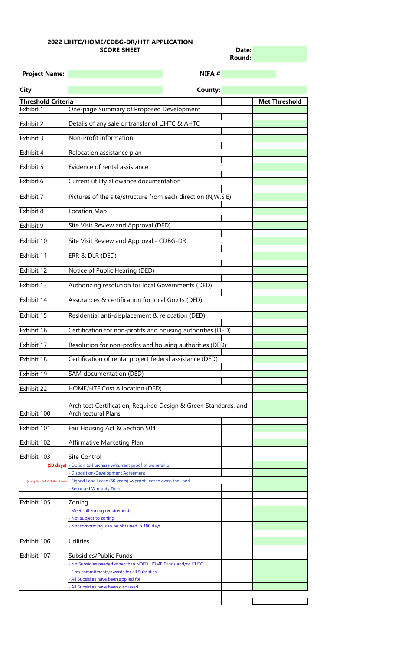| Date:  |  |
|--------|--|
| Round: |  |

| <b>Project Name:</b>      | NIFA #                                                       |                      |
|---------------------------|--------------------------------------------------------------|----------------------|
| <b>City</b>               | County:                                                      |                      |
| <b>Threshold Criteria</b> |                                                              | <b>Met Threshold</b> |
| Exhibit 1                 | One-page Summary of Proposed Development                     |                      |
| <b>Exhibit 2</b>          | Details of any sale or transfer of LIHTC & AHTC              |                      |
| Exhibit 3                 | Non-Profit Information                                       |                      |
| Exhibit 4                 | Relocation assistance plan                                   |                      |
| Exhibit 5                 | Evidence of rental assistance                                |                      |
| Exhibit 6                 | Current utility allowance documentation                      |                      |
| Exhibit 7                 | Pictures of the site/structure from each direction (N,W,S,E) |                      |
| Exhibit 8                 | Location Map                                                 |                      |
| Exhibit 9                 | Site Visit Review and Approval (DED)                         |                      |
| Exhibit 10                | Site Visit Review and Approval - CDBG-DR                     |                      |
| Exhibit 11                | ERR & DLR (DED)                                              |                      |
| Exhibit 12                | Notice of Public Hearing (DED)                               |                      |
| Exhibit 13                | Authorizing resolution for local Governments (DED)           |                      |
| Exhibit 14                | Assurances & certification for local Gov'ts (DED)            |                      |
| Exhibit 15                | Residential anti-displacement & relocation (DED)             |                      |
| Exhibit 16                | Certification for non-profits and housing authorities (DED)  |                      |
| Exhibit 17                | Resolution for non-profits and housing authorities (DED)     |                      |
| Exhibit 18                | Certification of rental project federal assistance (DED)     |                      |
| Exhibit 19                | SAM documentation (DED)                                      |                      |
| Exhibit 22                | HOME/HTF Cost Allocation (DED)                               |                      |

|             | Architect Certification, Required Design & Green Standards, and                          |  |
|-------------|------------------------------------------------------------------------------------------|--|
| Exhibit 100 | <b>Architectural Plans</b>                                                               |  |
|             |                                                                                          |  |
| Exhibit 101 | Fair Housing Act & Section 504                                                           |  |
| Exhibit 102 | Affirmative Marketing Plan                                                               |  |
| Exhibit 103 | <b>Site Control</b>                                                                      |  |
|             | (90 days) - Option to Purchase w/current proof of ownership                              |  |
|             | - Disposition/Development Agreement                                                      |  |
|             | (exception VA & Tribal Land) - Signed Land Lease (50 years) w/proof Leasee owns the Land |  |
|             | - Recorded Warranty Deed                                                                 |  |
|             |                                                                                          |  |
| Exhibit 105 | Zoning                                                                                   |  |
|             | - Meets all zoning requirements                                                          |  |
|             | - Not subject to zoning                                                                  |  |
|             | - Nonconforming, can be obtained in 180 days                                             |  |
| Exhibit 106 | <b>Utilities</b>                                                                         |  |
| Exhibit 107 | Subsidies/Public Funds                                                                   |  |
|             | - No Subsidies needed other than NDED HOME Funds and/or LIHTC                            |  |
|             | - Firm commitments/awards for all Subsidies                                              |  |
|             | - All Subsidies have been applied for                                                    |  |
|             | - All Subsidies have been discussed                                                      |  |
|             |                                                                                          |  |

## **2022 LIHTC/HOME/CDBG-DR/HTF APPLICATION SCORE SHEET**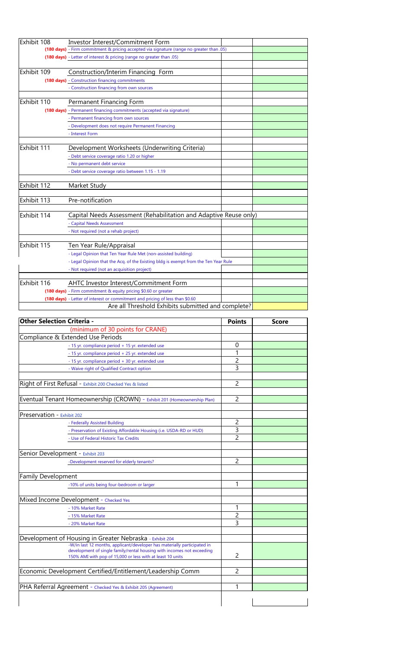| Exhibit 108 | <b>Investor Interest/Commitment Form</b>                                                  |  |
|-------------|-------------------------------------------------------------------------------------------|--|
|             | (180 days) - Firm commitment & pricing accepted via signature (range no greater than .05) |  |
|             | (180 days) - Letter of interest & pricing (range no greater than .05)                     |  |
|             |                                                                                           |  |
| Exhibit 109 | Construction/Interim Financing Form                                                       |  |
|             | (180 days) - Construction financing commitments                                           |  |
|             | - Construction financing from own sources                                                 |  |
|             |                                                                                           |  |
| Exhibit 110 | <b>Permanent Financing Form</b>                                                           |  |
|             | (180 days) - Permanent financing commitments (accepted via signature)                     |  |
|             | - Permanent financing from own sources                                                    |  |
|             | - Development does not require Permanent Financing                                        |  |
|             | - Interest Form                                                                           |  |
|             |                                                                                           |  |
| Exhibit 111 | Development Worksheets (Underwriting Criteria)                                            |  |
|             | - Debt service coverage ratio 1.20 or higher                                              |  |
|             | - No permanent debt service                                                               |  |
|             | - Debt service coverage ratio between 1.15 - 1.19                                         |  |
|             |                                                                                           |  |
| Exhibit 112 | Market Study                                                                              |  |
|             |                                                                                           |  |
| Exhibit 113 | Pre-notification                                                                          |  |
|             |                                                                                           |  |
| Exhibit 114 | Capital Needs Assessment (Rehabilitation and Adaptive Reuse only)                         |  |
|             | - Capital Needs Assessment                                                                |  |
|             | - Not required (not a rehab project)                                                      |  |
|             |                                                                                           |  |
| Exhibit 115 | Ten Year Rule/Appraisal                                                                   |  |
|             | - Legal Opinion that Ten Year Rule Met (non-assisted building)                            |  |
|             | - Legal Opinion that the Acq. of the Existing bldg is exempt from the Ten Year Rule       |  |
|             | - Not required (not an acquisition project)                                               |  |
|             |                                                                                           |  |
| Exhibit 116 | <b>AHTC Investor Interest/Commitment Form</b>                                             |  |
|             | (180 days) - Firm commitment & equity pricing \$0.60 or greater                           |  |
|             | (180 days) - Letter of interest or commitment and pricing of less than \$0.60             |  |
|             | Are all Threshold Exhibits submitted and complete?                                        |  |

| <b>Other Selection Criteria -</b>                                                                                                                                                                                | <b>Points</b>  | <b>Score</b> |
|------------------------------------------------------------------------------------------------------------------------------------------------------------------------------------------------------------------|----------------|--------------|
| (minimum of 30 points for CRANE)                                                                                                                                                                                 |                |              |
| Compliance & Extended Use Periods                                                                                                                                                                                |                |              |
| - 15 yr. compliance period + 15 yr. extended use                                                                                                                                                                 | $\overline{0}$ |              |
| - 15 yr. compliance period + 25 yr. extended use                                                                                                                                                                 | 1              |              |
| - 15 yr. compliance period + 30 yr. extended use                                                                                                                                                                 | 2              |              |
| - Waive right of Qualified Contract option                                                                                                                                                                       | 3              |              |
| Right of First Refusal - Exhibit 200 Checked Yes & listed                                                                                                                                                        | 2              |              |
|                                                                                                                                                                                                                  |                |              |
| Eventual Tenant Homeownership (CROWN) - Exhibit 201 (Homeownership Plan)                                                                                                                                         | $\overline{2}$ |              |
| Preservation - Exhibit 202                                                                                                                                                                                       |                |              |
| - Federally Assisted Building                                                                                                                                                                                    | $\overline{2}$ |              |
| - Preservation of Existing Affordable Housing (i.e. USDA-RD or HUD)                                                                                                                                              | 3              |              |
| - Use of Federal Historic Tax Credits                                                                                                                                                                            | $\overline{2}$ |              |
|                                                                                                                                                                                                                  |                |              |
| Senior Development - Exhibit 203                                                                                                                                                                                 |                |              |
| -Development reserved for elderly tenants?                                                                                                                                                                       | $\overline{2}$ |              |
| <b>Family Development</b>                                                                                                                                                                                        |                |              |
| -10% of units being four-bedroom or larger                                                                                                                                                                       |                |              |
| Mixed Income Development - Checked Yes                                                                                                                                                                           |                |              |
| - 10% Market Rate                                                                                                                                                                                                | 1              |              |
| - 15% Market Rate                                                                                                                                                                                                | 2              |              |
| - 20% Market Rate                                                                                                                                                                                                | 3              |              |
| Development of Housing in Greater Nebraska - Exhibit 204                                                                                                                                                         |                |              |
| -W/in last 12 months, applicant/developer has materially participated in<br>development of single family/rental housing with incomes not exceeding<br>150% AMI with pop of 15,000 or less with at least 10 units | 2              |              |
|                                                                                                                                                                                                                  |                |              |
| Economic Development Certified/Entitlement/Leadership Comm                                                                                                                                                       | $\overline{2}$ |              |
| <b>PHA Referral Agreement - Checked Yes &amp; Exhibit 205 (Agreement)</b>                                                                                                                                        |                |              |
|                                                                                                                                                                                                                  |                |              |
|                                                                                                                                                                                                                  |                |              |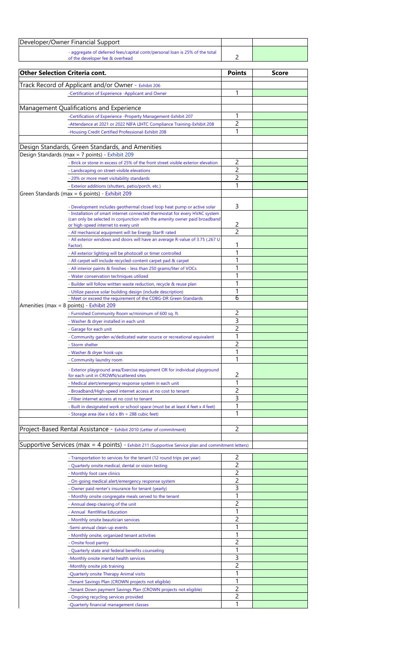| Developer/Owner Financial Support                                                                               |  |  |
|-----------------------------------------------------------------------------------------------------------------|--|--|
| - aggregate of deferred fees/capital contr/personal loan is 25% of the total<br>of the developer fee & overhead |  |  |

| <b>Other Selection Criteria cont.</b>                                                                                                |                                                                                                                                                        | <b>Points</b>  | <b>Score</b> |
|--------------------------------------------------------------------------------------------------------------------------------------|--------------------------------------------------------------------------------------------------------------------------------------------------------|----------------|--------------|
| Track Record of Applicant and/or Owner - Exhibit 206                                                                                 |                                                                                                                                                        |                |              |
| -Certification of Experience -Applicant and Owner                                                                                    |                                                                                                                                                        | 1              |              |
|                                                                                                                                      |                                                                                                                                                        |                |              |
| Management Qualifications and Experience                                                                                             |                                                                                                                                                        |                |              |
| -Certification of Experience -Property Management-Exhibit 207                                                                        |                                                                                                                                                        | 1              |              |
|                                                                                                                                      | -Attendance at 2021 or 2022 NIFA LIHTC Compliance Training-Exhibit 208                                                                                 | 2              |              |
| -Housing Credit Certified Professional-Exhibit 208                                                                                   |                                                                                                                                                        | 1              |              |
|                                                                                                                                      |                                                                                                                                                        |                |              |
| Design Standards, Green Standards, and Amenities                                                                                     |                                                                                                                                                        |                |              |
| Design Standards (max = 7 points) - Exhibit 209                                                                                      | - Brick or stone in excess of 25% of the front street visible exterior elevation                                                                       | $\overline{2}$ |              |
| - Landscaping on street-visible elevations                                                                                           |                                                                                                                                                        | 2              |              |
| - 20% or more meet visitability standards                                                                                            |                                                                                                                                                        | 2              |              |
| - Exterior additions (shutters, patio/porch, etc.)                                                                                   |                                                                                                                                                        | 1              |              |
| Green Standards (max = 6 points) - Exhibit 209                                                                                       |                                                                                                                                                        |                |              |
|                                                                                                                                      |                                                                                                                                                        |                |              |
|                                                                                                                                      | - Development includes geothermal closed loop heat pump or active solar<br>- Installation of smart internet connected thermostat for every HVAC system | 3              |              |
| or high-speed internet to every unit                                                                                                 | (can only be selected in conjunction with the amenity owner paid broadband                                                                             | 2              |              |
| - All mechanical equipment will be Energy Star® rated                                                                                |                                                                                                                                                        | $\overline{2}$ |              |
| Factor).                                                                                                                             | - All exterior windows and doors will have an average R-value of 3.75 (.267 U                                                                          |                |              |
| - All exterior lighting will be photocell or timer controlled                                                                        |                                                                                                                                                        |                |              |
| - All carpet will include recycled-content carpet pad & carpet                                                                       |                                                                                                                                                        |                |              |
| - All interior paints & finishes - less than 250 grams/liter of VOCs                                                                 |                                                                                                                                                        | 1              |              |
| - Water conservation techniques utilized                                                                                             |                                                                                                                                                        |                |              |
| - Builder will follow written waste reduction, recycle & reuse plan<br>- Utilize passive solar building design (include description) |                                                                                                                                                        |                |              |
| - Meet or exceed the requirement of the CDBG-DR Green Standards                                                                      |                                                                                                                                                        | 6              |              |
| Amenities (max = 8 points) - Exhibit 209                                                                                             |                                                                                                                                                        |                |              |
| - Furnished Community Room w/minimum of 600 sq. ft.                                                                                  |                                                                                                                                                        | $\overline{2}$ |              |
| - Washer & dryer installed in each unit                                                                                              |                                                                                                                                                        | 3              |              |
| - Garage for each unit                                                                                                               |                                                                                                                                                        | 2              |              |
|                                                                                                                                      | - Community garden w/dedicated water source or recreational equivalent                                                                                 |                |              |
| - Storm shelter                                                                                                                      |                                                                                                                                                        | 2              |              |
| - Washer & dryer hook-ups                                                                                                            |                                                                                                                                                        | 1              |              |
| - Community laundry room                                                                                                             |                                                                                                                                                        |                |              |
| for each unit in CROWN/scattered sites                                                                                               | - Exterior playground area/Exercise equipment OR for individual playground                                                                             | $\overline{2}$ |              |
| - Medical alert/emergency response system in each unit                                                                               |                                                                                                                                                        | 1              |              |
| - Broadband/High-speed internet access at no cost to tenant                                                                          |                                                                                                                                                        | 2              |              |
| - Fiber internet access at no cost to tenant                                                                                         |                                                                                                                                                        | 3              |              |
|                                                                                                                                      | - Built in designated work or school space (must be at least 4 feet x 4 feet)                                                                          |                |              |
| - Storage area (6w x 6d x 8h = 288 cubic feet)                                                                                       |                                                                                                                                                        | 1              |              |
|                                                                                                                                      |                                                                                                                                                        |                |              |
| Project-Based Rental Assistance - Exhibit 2010 (Letter of commitment)                                                                |                                                                                                                                                        | $\overline{2}$ |              |
|                                                                                                                                      |                                                                                                                                                        |                |              |
| Supportive Services (max = 4 points) - Exhibit 211 (Supportive Service plan and commitment letters)                                  |                                                                                                                                                        |                |              |
| - Transportation to services for the tenant (12 round trips per year)                                                                |                                                                                                                                                        | 2              |              |
| - Quarterly onsite medical, dental or vision testing                                                                                 |                                                                                                                                                        | 2              |              |
| - Monthly foot care clinics                                                                                                          |                                                                                                                                                        | $\overline{2}$ |              |
| - On-going medical alert/emergency response system                                                                                   |                                                                                                                                                        | $\overline{2}$ |              |
| - Owner paid renter's insurance for tenant (yearly)                                                                                  |                                                                                                                                                        | 3              |              |
| - Monthly onsite congregate meals served to the tenant                                                                               |                                                                                                                                                        | $\overline{2}$ |              |
| - Annual deep cleaning of the unit<br>- Annual RentWise Education                                                                    |                                                                                                                                                        |                |              |
| - Monthly onsite beautician services                                                                                                 |                                                                                                                                                        | 2              |              |
| -Semi-annual clean-up events                                                                                                         |                                                                                                                                                        |                |              |
| - Monthly onsite, organized tenant activities                                                                                        |                                                                                                                                                        |                |              |
| - Onsite food pantry                                                                                                                 |                                                                                                                                                        | 2              |              |
| - Quarterly state and federal benefits counseling                                                                                    |                                                                                                                                                        |                |              |
| -Monthly onsite mental health services                                                                                               |                                                                                                                                                        | 3              |              |
| -Monthly onsite job training                                                                                                         |                                                                                                                                                        | 2              |              |
| -Quarterly onsite Therapy Animal visits                                                                                              |                                                                                                                                                        |                |              |
| -Tenant Savings Plan (CROWN projects not eligible)                                                                                   |                                                                                                                                                        |                |              |
| -Tenant Down payment Savings Plan (CROWN projects not eligible)                                                                      |                                                                                                                                                        | 2<br>2         |              |
| - Ongoing recycling services provided<br>-Quarterly financial management classes                                                     |                                                                                                                                                        | 1              |              |